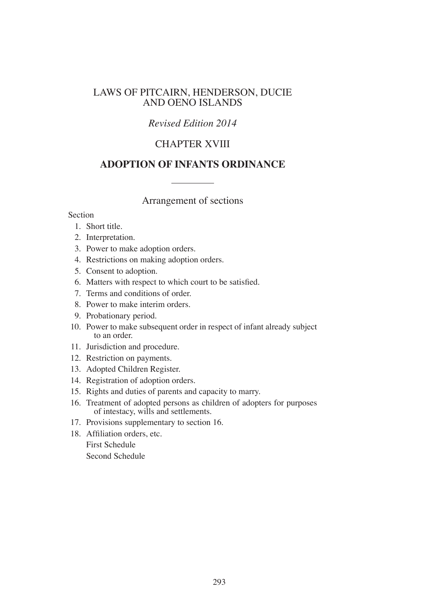# LAWS OF PITCAIRN, HENDERSON, DUCIE AND OENO ISLANDS

# *Revised Edition 2014*

# CHAPTER XVIII

# **ADOPTION OF INFANTS ORDINANCE**

Arrangement of sections

Section

- 1. Short title.
- 2. Interpretation.
- 3. Power to make adoption orders.
- 4. Restrictions on making adoption orders.
- 5. Consent to adoption.
- 6. Matters with respect to which court to be satisfied.
- 7. Terms and conditions of order.
- 8. Power to make interim orders.
- 9. Probationary period.
- 10. Power to make subsequent order in respect of infant already subject to an order.
- 11. Jurisdiction and procedure.
- 12. Restriction on payments.
- 13. Adopted Children Register.
- 14. Registration of adoption orders.
- 15. Rights and duties of parents and capacity to marry.
- 16. Treatment of adopted persons as children of adopters for purposes of intestacy, wills and settlements.
- 17. Provisions supplementary to section 16.
- 18. Affiliation orders, etc.

First Schedule

Second Schedule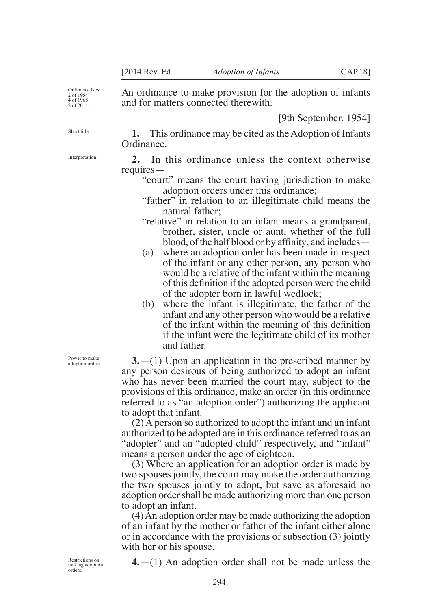An ordinance to make provision for the adoption of infants

and for matters connected therewith.

[9th September, 1954]

Ordinance Nos: 2 of 1954 4 of 1968 2 of 2014.

Short title.

**1.** This ordinance may be cited as the Adoption of Infants Ordinance.

**2.** In this ordinance unless the context otherwise requires—

- "court" means the court having jurisdiction to make adoption orders under this ordinance;
- "father" in relation to an illegitimate child means the natural father;
- "relative" in relation to an infant means a grandparent, brother, sister, uncle or aunt, whether of the full blood, of the half blood or by affinity, and includes—
- (a) where an adoption order has been made in respect of the infant or any other person, any person who would be a relative of the infant within the meaning of this definition if the adopted person were the child of the adopter born in lawful wedlock;
- (b) where the infant is illegitimate, the father of the infant and any other person who would be a relative of the infant within the meaning of this definition if the infant were the legitimate child of its mother and father.

**3.**—(1) Upon an application in the prescribed manner by any person desirous of being authorized to adopt an infant who has never been married the court may, subject to the provisions of this ordinance, make an order (in this ordinance referred to as "an adoption order") authorizing the applicant to adopt that infant.

(2) A person so authorized to adopt the infant and an infant authorized to be adopted are in this ordinance referred to as an "adopter" and an "adopted child" respectively, and "infant" means a person under the age of eighteen.

(3) Where an application for an adoption order is made by two spouses jointly, the court may make the order authorizing the two spouses jointly to adopt, but save as aforesaid no adoption order shall be made authorizing more than one person to adopt an infant.

(4) An adoption order may be made authorizing the adoption of an infant by the mother or father of the infant either alone or in accordance with the provisions of subsection (3) jointly with her or his spouse.

Restrictions on making adoption orders.

**4.**—(1) An adoption order shall not be made unless the

Interpretation.

Power to make adoption orders.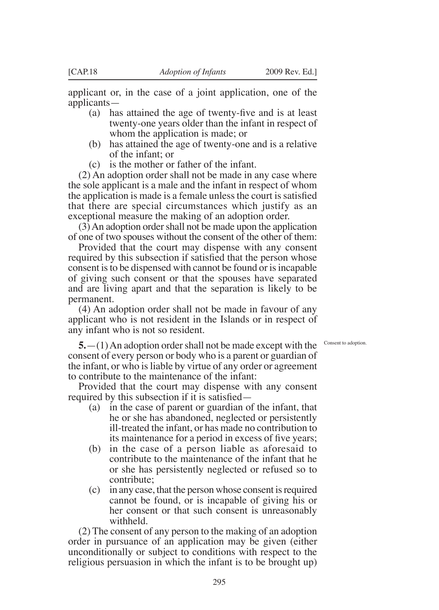applicant or, in the case of a joint application, one of the applicants—

- (a) has attained the age of twenty-five and is at least twenty-one years older than the infant in respect of whom the application is made; or
- (b) has attained the age of twenty-one and is a relative of the infant; or
- (c) is the mother or father of the infant.

(2) An adoption order shall not be made in any case where the sole applicant is a male and the infant in respect of whom the application is made is a female unless the court is satisfied that there are special circumstances which justify as an exceptional measure the making of an adoption order.

(3) An adoption order shall not be made upon the application of one of two spouses without the consent of the other of them:

Provided that the court may dispense with any consent required by this subsection if satisfied that the person whose consent is to be dispensed with cannot be found or is incapable of giving such consent or that the spouses have separated and are living apart and that the separation is likely to be permanent.

(4) An adoption order shall not be made in favour of any applicant who is not resident in the Islands or in respect of any infant who is not so resident.

Consent to adoption.

**5.**—(1) An adoption order shall not be made except with the consent of every person or body who is a parent or guardian of the infant, or who is liable by virtue of any order or agreement to contribute to the maintenance of the infant:

Provided that the court may dispense with any consent required by this subsection if it is satisfied—

- (a) in the case of parent or guardian of the infant, that he or she has abandoned, neglected or persistently ill-treated the infant, or has made no contribution to its maintenance for a period in excess of five years;
- (b) in the case of a person liable as aforesaid to contribute to the maintenance of the infant that he or she has persistently neglected or refused so to contribute;
- (c) in any case, that the person whose consent is required cannot be found, or is incapable of giving his or her consent or that such consent is unreasonably withheld.

(2) The consent of any person to the making of an adoption order in pursuance of an application may be given (either unconditionally or subject to conditions with respect to the religious persuasion in which the infant is to be brought up)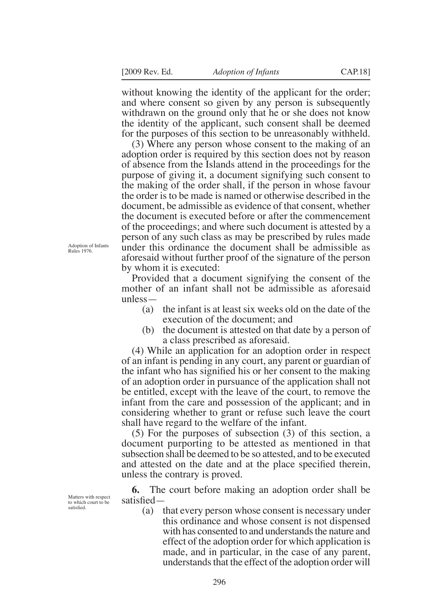without knowing the identity of the applicant for the order; and where consent so given by any person is subsequently withdrawn on the ground only that he or she does not know the identity of the applicant, such consent shall be deemed for the purposes of this section to be unreasonably withheld.

(3) Where any person whose consent to the making of an adoption order is required by this section does not by reason of absence from the Islands attend in the proceedings for the purpose of giving it, a document signifying such consent to the making of the order shall, if the person in whose favour the order is to be made is named or otherwise described in the document, be admissible as evidence of that consent, whether the document is executed before or after the commencement of the proceedings; and where such document is attested by a person of any such class as may be prescribed by rules made under this ordinance the document shall be admissible as aforesaid without further proof of the signature of the person by whom it is executed:

Adoption of Infants Rules 1976.

Matters with respect to which court to be satisfied.

Provided that a document signifying the consent of the mother of an infant shall not be admissible as aforesaid unless—

- (a) the infant is at least six weeks old on the date of the execution of the document; and
- (b) the document is attested on that date by a person of a class prescribed as aforesaid.

(4) While an application for an adoption order in respect of an infant is pending in any court, any parent or guardian of the infant who has signified his or her consent to the making of an adoption order in pursuance of the application shall not be entitled, except with the leave of the court, to remove the infant from the care and possession of the applicant; and in considering whether to grant or refuse such leave the court shall have regard to the welfare of the infant.

(5) For the purposes of subsection (3) of this section, a document purporting to be attested as mentioned in that subsection shall be deemed to be so attested, and to be executed and attested on the date and at the place specified therein, unless the contrary is proved.

**6.** The court before making an adoption order shall be satisfied—

(a) that every person whose consent is necessary under this ordinance and whose consent is not dispensed with has consented to and understands the nature and effect of the adoption order for which application is made, and in particular, in the case of any parent, understands that the effect of the adoption order will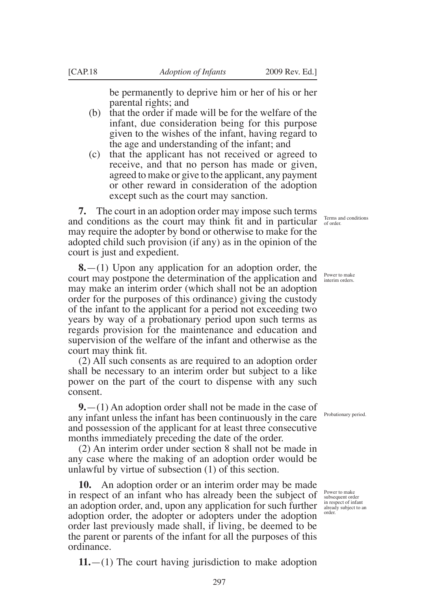be permanently to deprive him or her of his or her parental rights; and

- (b) that the order if made will be for the welfare of the infant, due consideration being for this purpose given to the wishes of the infant, having regard to the age and understanding of the infant; and
- (c) that the applicant has not received or agreed to receive, and that no person has made or given, agreed to make or give to the applicant, any payment or other reward in consideration of the adoption except such as the court may sanction.

**7.** The court in an adoption order may impose such terms and conditions as the court may think fit and in particular  $\frac{1}{\text{of order}}$ may require the adopter by bond or otherwise to make for the adopted child such provision (if any) as in the opinion of the court is just and expedient.

**8.**—(1) Upon any application for an adoption order, the court may postpone the determination of the application and Power to make may make an interim order (which shall not be an adoption order for the purposes of this ordinance) giving the custody of the infant to the applicant for a period not exceeding two years by way of a probationary period upon such terms as regards provision for the maintenance and education and supervision of the welfare of the infant and otherwise as the court may think fit.

(2) All such consents as are required to an adoption order shall be necessary to an interim order but subject to a like power on the part of the court to dispense with any such consent.

**9.**—(1) An adoption order shall not be made in the case of any infant unless the infant has been continuously in the care and possession of the applicant for at least three consecutive months immediately preceding the date of the order.

(2) An interim order under section 8 shall not be made in any case where the making of an adoption order would be unlawful by virtue of subsection (1) of this section.

**10.** An adoption order or an interim order may be made in respect of an infant who has already been the subject of an adoption order, and, upon any application for such further  $\int_{\text{area of}}^{\text{in respect of infant}}$ adoption order, the adopter or adopters under the adoption order last previously made shall, if living, be deemed to be the parent or parents of the infant for all the purposes of this ordinance.

**11.**—(1) The court having jurisdiction to make adoption

Terms and conditions

Probationary period.

Power to make subsequent order<br>in respect of infant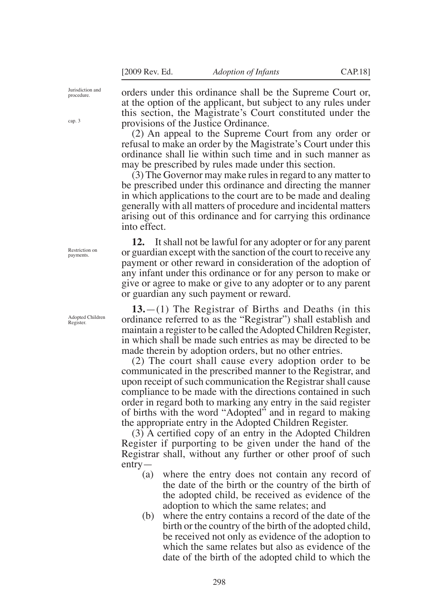Jurisdiction and procedure.

cap. 3

orders under this ordinance shall be the Supreme Court or, at the option of the applicant, but subject to any rules under this section, the Magistrate's Court constituted under the provisions of the Justice Ordinance.

(2) An appeal to the Supreme Court from any order or refusal to make an order by the Magistrate's Court under this ordinance shall lie within such time and in such manner as may be prescribed by rules made under this section.

(3) The Governor may make rules in regard to any matter to be prescribed under this ordinance and directing the manner in which applications to the court are to be made and dealing generally with all matters of procedure and incidental matters arising out of this ordinance and for carrying this ordinance into effect.

**12.** It shall not be lawful for any adopter or for any parent or guardian except with the sanction of the court to receive any payment or other reward in consideration of the adoption of any infant under this ordinance or for any person to make or give or agree to make or give to any adopter or to any parent or guardian any such payment or reward.

**13.**—(1) The Registrar of Births and Deaths (in this ordinance referred to as the "Registrar") shall establish and maintain a register to be called the Adopted Children Register, in which shall be made such entries as may be directed to be made therein by adoption orders, but no other entries.

(2) The court shall cause every adoption order to be communicated in the prescribed manner to the Registrar, and upon receipt of such communication the Registrar shall cause compliance to be made with the directions contained in such order in regard both to marking any entry in the said register of births with the word "Adopted" and in regard to making the appropriate entry in the Adopted Children Register.

(3) A certified copy of an entry in the Adopted Children Register if purporting to be given under the hand of the Registrar shall, without any further or other proof of such entry—

- (a) where the entry does not contain any record of the date of the birth or the country of the birth of the adopted child, be received as evidence of the adoption to which the same relates; and
- (b) where the entry contains a record of the date of the birth or the country of the birth of the adopted child, be received not only as evidence of the adoption to which the same relates but also as evidence of the date of the birth of the adopted child to which the

Restriction on payments.

Adopted Children Register.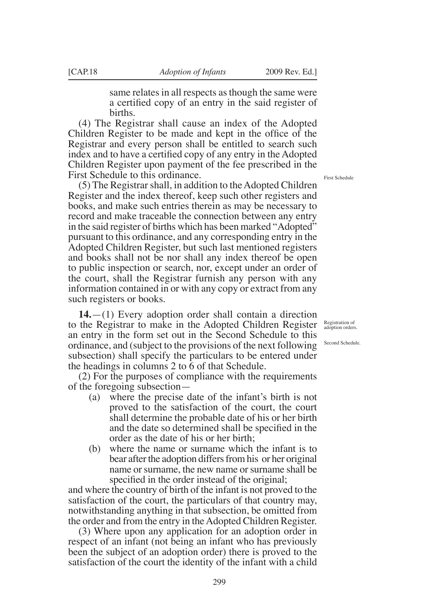same relates in all respects as though the same were a certified copy of an entry in the said register of births.

(4) The Registrar shall cause an index of the Adopted Children Register to be made and kept in the office of the Registrar and every person shall be entitled to search such index and to have a certified copy of any entry in the Adopted Children Register upon payment of the fee prescribed in the First Schedule to this ordinance.

(5) The Registrar shall, in addition to the Adopted Children Register and the index thereof, keep such other registers and books, and make such entries therein as may be necessary to record and make traceable the connection between any entry in the said register of births which has been marked "Adopted" pursuant to this ordinance, and any corresponding entry in the Adopted Children Register, but such last mentioned registers and books shall not be nor shall any index thereof be open to public inspection or search, nor, except under an order of the court, shall the Registrar furnish any person with any information contained in or with any copy or extract from any such registers or books.

**14.**—(1) Every adoption order shall contain a direction to the Registrar to make in the Adopted Children Register an entry in the form set out in the Second Schedule to this ordinance, and (subject to the provisions of the next following subsection) shall specify the particulars to be entered under the headings in columns 2 to 6 of that Schedule.

(2) For the purposes of compliance with the requirements of the foregoing subsection—

- (a) where the precise date of the infant's birth is not proved to the satisfaction of the court, the court shall determine the probable date of his or her birth and the date so determined shall be specified in the order as the date of his or her birth;
- (b) where the name or surname which the infant is to bear after the adoption differs from his or her original name or surname, the new name or surname shall be specified in the order instead of the original;

and where the country of birth of the infant is not proved to the satisfaction of the court, the particulars of that country may, notwithstanding anything in that subsection, be omitted from the order and from the entry in the Adopted Children Register.

(3) Where upon any application for an adoption order in respect of an infant (not being an infant who has previously been the subject of an adoption order) there is proved to the satisfaction of the court the identity of the infant with a child

First Schedule

Registration of adoption orders.

Second Schedule.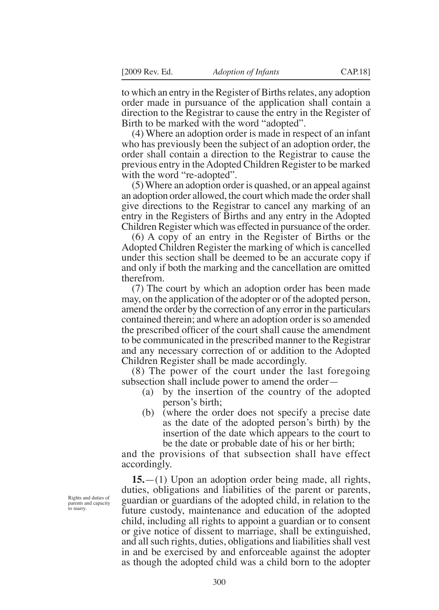to which an entry in the Register of Births relates, any adoption order made in pursuance of the application shall contain a direction to the Registrar to cause the entry in the Register of Birth to be marked with the word "adopted".

(4) Where an adoption order is made in respect of an infant who has previously been the subject of an adoption order, the order shall contain a direction to the Registrar to cause the previous entry in the Adopted Children Register to be marked with the word "re-adopted".

(5) Where an adoption order is quashed, or an appeal against an adoption order allowed, the court which made the order shall give directions to the Registrar to cancel any marking of an entry in the Registers of Births and any entry in the Adopted Children Register which was effected in pursuance of the order.

(6) A copy of an entry in the Register of Births or the Adopted Children Register the marking of which is cancelled under this section shall be deemed to be an accurate copy if and only if both the marking and the cancellation are omitted therefrom.

(7) The court by which an adoption order has been made may, on the application of the adopter or of the adopted person, amend the order by the correction of any error in the particulars contained therein; and where an adoption order is so amended the prescribed officer of the court shall cause the amendment to be communicated in the prescribed manner to the Registrar and any necessary correction of or addition to the Adopted Children Register shall be made accordingly.

(8) The power of the court under the last foregoing subsection shall include power to amend the order—

- (a) by the insertion of the country of the adopted person's birth;
- (b) (where the order does not specify a precise date as the date of the adopted person's birth) by the insertion of the date which appears to the court to be the date or probable date of his or her birth;

and the provisions of that subsection shall have effect accordingly.

**15.**—(1) Upon an adoption order being made, all rights, duties, obligations and liabilities of the parent or parents, guardian or guardians of the adopted child, in relation to the future custody, maintenance and education of the adopted child, including all rights to appoint a guardian or to consent or give notice of dissent to marriage, shall be extinguished, and all such rights, duties, obligations and liabilities shall vest in and be exercised by and enforceable against the adopter as though the adopted child was a child born to the adopter

Rights and duties of parents and capacity to marry.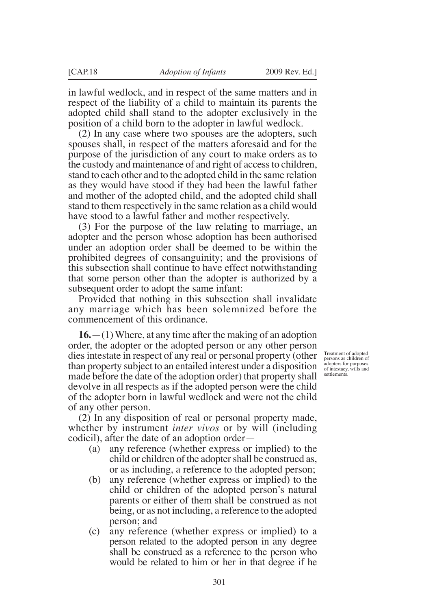in lawful wedlock, and in respect of the same matters and in respect of the liability of a child to maintain its parents the adopted child shall stand to the adopter exclusively in the position of a child born to the adopter in lawful wedlock.

(2) In any case where two spouses are the adopters, such spouses shall, in respect of the matters aforesaid and for the purpose of the jurisdiction of any court to make orders as to the custody and maintenance of and right of access to children, stand to each other and to the adopted child in the same relation as they would have stood if they had been the lawful father and mother of the adopted child, and the adopted child shall stand to them respectively in the same relation as a child would have stood to a lawful father and mother respectively.

(3) For the purpose of the law relating to marriage, an adopter and the person whose adoption has been authorised under an adoption order shall be deemed to be within the prohibited degrees of consanguinity; and the provisions of this subsection shall continue to have effect notwithstanding that some person other than the adopter is authorized by a subsequent order to adopt the same infant:

Provided that nothing in this subsection shall invalidate any marriage which has been solemnized before the commencement of this ordinance.

**16.**—(1) Where, at any time after the making of an adoption order, the adopter or the adopted person or any other person dies intestate in respect of any real or personal property (other than property subject to an entailed interest under a disposition made before the date of the adoption order) that property shall devolve in all respects as if the adopted person were the child of the adopter born in lawful wedlock and were not the child of any other person.

Treatment of adopted persons as children of adopters for purposes of intestacy, wills and settlements.

(2) In any disposition of real or personal property made, whether by instrument *inter vivos* or by will (including codicil), after the date of an adoption order—

- (a) any reference (whether express or implied) to the child or children of the adopter shall be construed as, or as including, a reference to the adopted person;
- (b) any reference (whether express or implied) to the child or children of the adopted person's natural parents or either of them shall be construed as not being, or as not including, a reference to the adopted person; and
- (c) any reference (whether express or implied) to a person related to the adopted person in any degree shall be construed as a reference to the person who would be related to him or her in that degree if he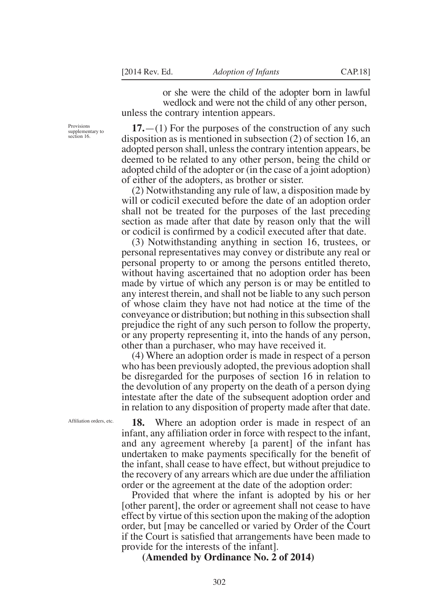or she were the child of the adopter born in lawful wedlock and were not the child of any other person, unless the contrary intention appears.

**17.**—(1) For the purposes of the construction of any such disposition as is mentioned in subsection (2) of section 16, an adopted person shall, unless the contrary intention appears, be deemed to be related to any other person, being the child or adopted child of the adopter or (in the case of a joint adoption) of either of the adopters, as brother or sister.

(2) Notwithstanding any rule of law, a disposition made by will or codicil executed before the date of an adoption order shall not be treated for the purposes of the last preceding section as made after that date by reason only that the will or codicil is confirmed by a codicil executed after that date.

(3) Notwithstanding anything in section 16, trustees, or personal representatives may convey or distribute any real or personal property to or among the persons entitled thereto, without having ascertained that no adoption order has been made by virtue of which any person is or may be entitled to any interest therein, and shall not be liable to any such person of whose claim they have not had notice at the time of the conveyance or distribution; but nothing in this subsection shall prejudice the right of any such person to follow the property, or any property representing it, into the hands of any person, other than a purchaser, who may have received it.

(4) Where an adoption order is made in respect of a person who has been previously adopted, the previous adoption shall be disregarded for the purposes of section 16 in relation to the devolution of any property on the death of a person dying intestate after the date of the subsequent adoption order and in relation to any disposition of property made after that date.

Affiliation orders, etc.

Provisions supplementary to section 16.

> **18.** Where an adoption order is made in respect of an infant, any affiliation order in force with respect to the infant, and any agreement whereby [a parent] of the infant has undertaken to make payments specifically for the benefit of the infant, shall cease to have effect, but without prejudice to the recovery of any arrears which are due under the affiliation order or the agreement at the date of the adoption order:

> Provided that where the infant is adopted by his or her [other parent], the order or agreement shall not cease to have effect by virtue of this section upon the making of the adoption order, but [may be cancelled or varied by Order of the Court if the Court is satisfied that arrangements have been made to provide for the interests of the infant].

**(Amended by Ordinance No. 2 of 2014)**

302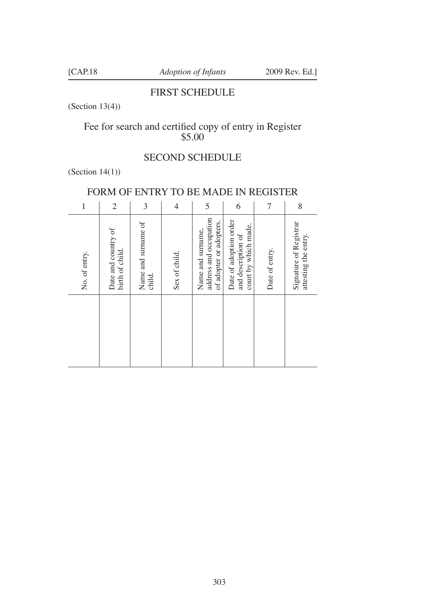# FIRST SCHEDULE

(Section 13(4))

# Fee for search and certified copy of entry in Register \$5.00

# SECOND SCHEDULE

# (Section 14(1))

# FORM OF ENTRY TO BE MADE IN REGISTER

| 1             | $\overline{2}$                         | 3                             | $\overline{4}$ | 5                                                                      | 6                                                                    | 7              | 8                                              |
|---------------|----------------------------------------|-------------------------------|----------------|------------------------------------------------------------------------|----------------------------------------------------------------------|----------------|------------------------------------------------|
| No. of entry. | Date and country of<br>birth of child. | Name and surname of<br>child. | Sex of child.  | address and occupation<br>of adopter or adopters.<br>Name and surname, | Date of adoption order<br>court by which made.<br>and description of | Date of entry. | Signature of Registrar<br>attesting the entry. |
|               |                                        |                               |                |                                                                        |                                                                      |                |                                                |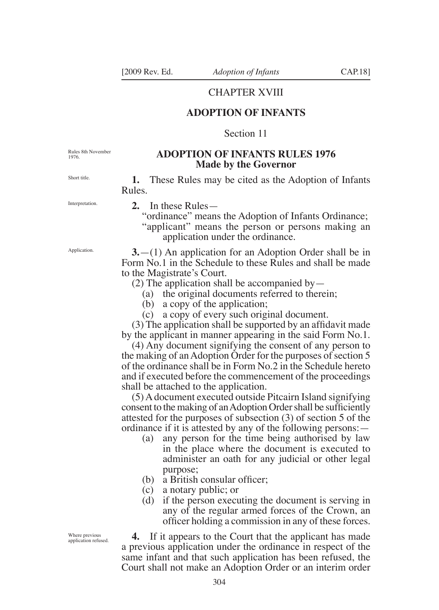### CHAPTER XVIII

## **ADOPTION OF INFANTS**

### Section 11

Rules 8th November 1976.

### **ADOPTION OF INFANTS RULES 1976 Made by the Governor**

**1.** These Rules may be cited as the Adoption of Infants Rules.

Interpretation.

Short title.

**Application** 

**2.** In these Rules—

"ordinance" means the Adoption of Infants Ordinance; "applicant" means the person or persons making an application under the ordinance.

**3.**—(1) An application for an Adoption Order shall be in Form No.1 in the Schedule to these Rules and shall be made to the Magistrate's Court.

(2) The application shall be accompanied by  $-$ 

(a) the original documents referred to therein;

(b) a copy of the application;

(c) a copy of every such original document.

(3) The application shall be supported by an affidavit made by the applicant in manner appearing in the said Form No.1.

(4) Any document signifying the consent of any person to the making of an Adoption Order for the purposes of section 5 of the ordinance shall be in Form No.2 in the Schedule hereto and if executed before the commencement of the proceedings shall be attached to the application.

(5) A document executed outside Pitcairn Island signifying consent to the making of an Adoption Order shall be sufficiently attested for the purposes of subsection (3) of section 5 of the ordinance if it is attested by any of the following persons:—

- (a) any person for the time being authorised by law in the place where the document is executed to administer an oath for any judicial or other legal purpose;
- (b) a British consular officer;
- (c) a notary public; or
- (d) if the person executing the document is serving in any of the regular armed forces of the Crown, an officer holding a commission in any of these forces.

**4.** If it appears to the Court that the applicant has made a previous application under the ordinance in respect of the same infant and that such application has been refused, the Court shall not make an Adoption Order or an interim order

Where previous application refused.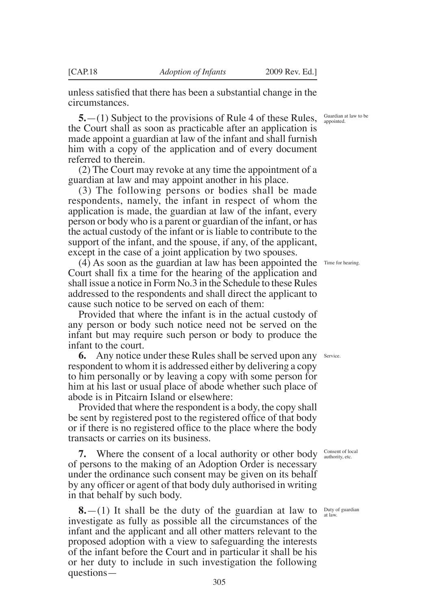unless satisfied that there has been a substantial change in the circumstances.

**5.**—(1) Subject to the provisions of Rule 4 of these Rules, the Court shall as soon as practicable after an application is made appoint a guardian at law of the infant and shall furnish him with a copy of the application and of every document referred to therein.

(2) The Court may revoke at any time the appointment of a guardian at law and may appoint another in his place.

(3) The following persons or bodies shall be made respondents, namely, the infant in respect of whom the application is made, the guardian at law of the infant, every person or body who is a parent or guardian of the infant, or has the actual custody of the infant or is liable to contribute to the support of the infant, and the spouse, if any, of the applicant, except in the case of a joint application by two spouses.

(4) As soon as the guardian at law has been appointed the Time for hearing. Court shall fix a time for the hearing of the application and shall issue a notice in Form No.3 in the Schedule to these Rules addressed to the respondents and shall direct the applicant to cause such notice to be served on each of them:

Provided that where the infant is in the actual custody of any person or body such notice need not be served on the infant but may require such person or body to produce the infant to the court.

**6.** Any notice under these Rules shall be served upon any respondent to whom it is addressed either by delivering a copy to him personally or by leaving a copy with some person for him at his last or usual place of abode whether such place of abode is in Pitcairn Island or elsewhere:

Provided that where the respondent is a body, the copy shall be sent by registered post to the registered office of that body or if there is no registered office to the place where the body transacts or carries on its business.

**7.** Where the consent of a local authority or other body of persons to the making of an Adoption Order is necessary under the ordinance such consent may be given on its behalf by any officer or agent of that body duly authorised in writing in that behalf by such body.

**8.**—(1) It shall be the duty of the guardian at law to investigate as fully as possible all the circumstances of the infant and the applicant and all other matters relevant to the proposed adoption with a view to safeguarding the interests of the infant before the Court and in particular it shall be his or her duty to include in such investigation the following questions—

Guardian at law to be appointed.

Service.

Consent of local authority, etc.

Duty of guardian at law.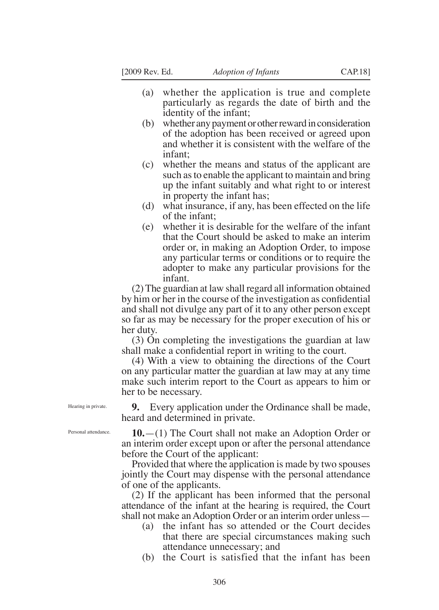- (a) whether the application is true and complete particularly as regards the date of birth and the identity of the infant;
- (b) whether any payment or other reward in consideration of the adoption has been received or agreed upon and whether it is consistent with the welfare of the infant;
- (c) whether the means and status of the applicant are such as to enable the applicant to maintain and bring up the infant suitably and what right to or interest in property the infant has;
- (d) what insurance, if any, has been effected on the life of the infant;
- (e) whether it is desirable for the welfare of the infant that the Court should be asked to make an interim order or, in making an Adoption Order, to impose any particular terms or conditions or to require the adopter to make any particular provisions for the infant.

(2) The guardian at law shall regard all information obtained by him or her in the course of the investigation as confidential and shall not divulge any part of it to any other person except so far as may be necessary for the proper execution of his or her duty.

(3) On completing the investigations the guardian at law shall make a confidential report in writing to the court.

(4) With a view to obtaining the directions of the Court on any particular matter the guardian at law may at any time make such interim report to the Court as appears to him or her to be necessary.

Hearing in private.

**9.** Every application under the Ordinance shall be made, heard and determined in private.

**10.**—(1) The Court shall not make an Adoption Order or an interim order except upon or after the personal attendance before the Court of the applicant:

Provided that where the application is made by two spouses jointly the Court may dispense with the personal attendance of one of the applicants.

(2) If the applicant has been informed that the personal attendance of the infant at the hearing is required, the Court shall not make an Adoption Order or an interim order unless—

- (a) the infant has so attended or the Court decides that there are special circumstances making such attendance unnecessary; and
- (b) the Court is satisfied that the infant has been

Personal attendance.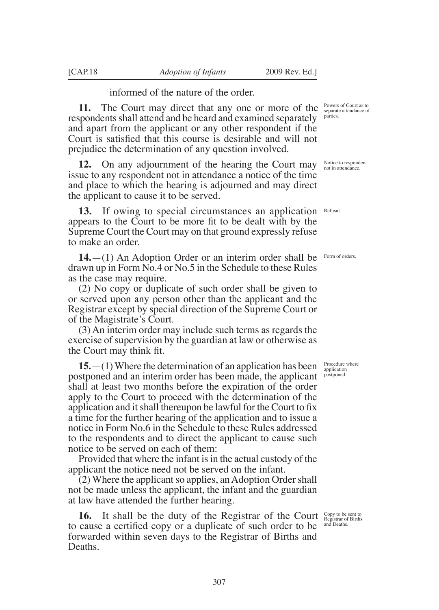informed of the nature of the order.

**11.** The Court may direct that any one or more of the respondents shall attend and be heard and examined separately and apart from the applicant or any other respondent if the Court is satisfied that this course is desirable and will not prejudice the determination of any question involved.

**12.** On any adjournment of the hearing the Court may issue to any respondent not in attendance a notice of the time and place to which the hearing is adjourned and may direct the applicant to cause it to be served.

**13.** If owing to special circumstances an application appears to the Court to be more fit to be dealt with by the Supreme Court the Court may on that ground expressly refuse to make an order.

**14.**—(1) An Adoption Order or an interim order shall be drawn up in Form No.4 or No.5 in the Schedule to these Rules as the case may require.

(2) No copy or duplicate of such order shall be given to or served upon any person other than the applicant and the Registrar except by special direction of the Supreme Court or of the Magistrate's Court.

(3) An interim order may include such terms as regards the exercise of supervision by the guardian at law or otherwise as the Court may think fit.

**15.**—(1) Where the determination of an application has been postponed and an interim order has been made, the applicant shall at least two months before the expiration of the order apply to the Court to proceed with the determination of the application and it shall thereupon be lawful for the Court to fix a time for the further hearing of the application and to issue a notice in Form No.6 in the Schedule to these Rules addressed to the respondents and to direct the applicant to cause such notice to be served on each of them:

Provided that where the infant is in the actual custody of the applicant the notice need not be served on the infant.

(2) Where the applicant so applies, an Adoption Order shall not be made unless the applicant, the infant and the guardian at law have attended the further hearing.

**16.** It shall be the duty of the Registrar of the Court Copy to be sent to Registrar of Births to cause a certified copy or a duplicate of such order to be forwarded within seven days to the Registrar of Births and Deaths.

Powers of Court as to separate attendance of parties.

Notice to respondent not in attendance.

Refusal.

Form of orders.

Procedure where application postponed.

and Deaths.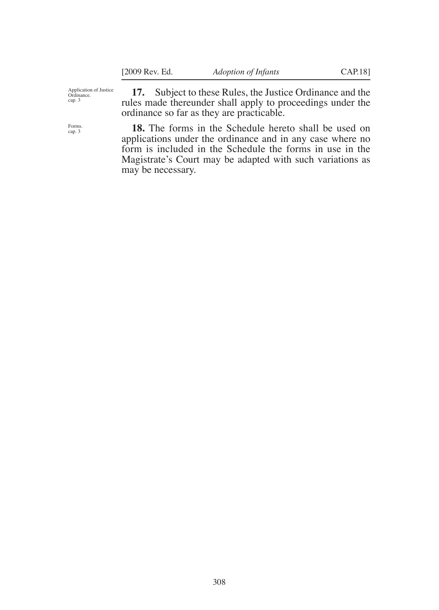Application of Justice Ordinance. cap. 3

**17.** Subject to these Rules, the Justice Ordinance and the rules made thereunder shall apply to proceedings under the ordinance so far as they are practicable.

**18.** The forms in the Schedule hereto shall be used on applications under the ordinance and in any case where no form is included in the Schedule the forms in use in the Magistrate's Court may be adapted with such variations as may be necessary.

Forms. cap. 3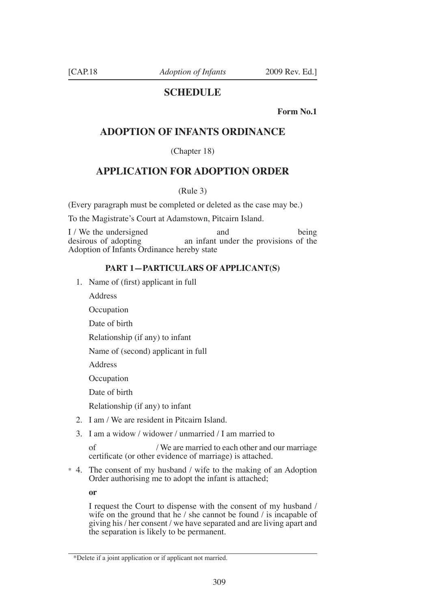# **SCHEDULE**

**Form No.1** 

# **ADOPTION OF INFANTS ORDINANCE**

(Chapter 18)

# **APPLICATION FOR ADOPTION ORDER**

(Rule 3)

(Every paragraph must be completed or deleted as the case may be.)

To the Magistrate's Court at Adamstown, Pitcairn Island.

I / We the undersigned and being<br>desirous of adopting an infant under the provisions of the an infant under the provisions of the Adoption of Infants Ordinance hereby state

### **PART 1—PARTICULARS OF APPLICANT(S)**

1. Name of (first) applicant in full

Address

**Occupation** 

Date of birth

Relationship (if any) to infant

Name of (second) applicant in full

Address

**Occupation** 

Date of birth

Relationship (if any) to infant

- 2. I am / We are resident in Pitcairn Island.
- 3. I am a widow / widower / unmarried / I am married to

 of / We are married to each other and our marriage certificate (or other evidence of marriage) is attached.

\* 4. The consent of my husband / wife to the making of an Adoption Order authorising me to adopt the infant is attached;

**or**

 I request the Court to dispense with the consent of my husband / wife on the ground that he / she cannot be found / is incapable of giving his / her consent / we have separated and are living apart and the separation is likely to be permanent.

<sup>\*</sup>Delete if a joint application or if applicant not married.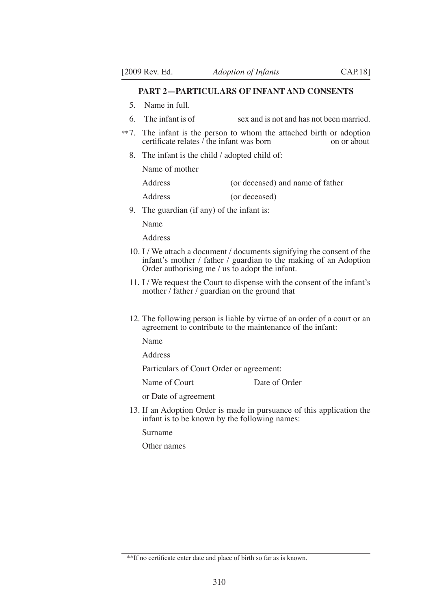### **PART 2—PARTICULARS OF INFANT AND CONSENTS**

- 5. Name in full.
- 6. The infant is of sex and is not and has not been married.
- \*\* 7. The infant is the person to whom the attached birth or adoption certificate relates  $\ell$  the infant was born on or about certificate relates  $\overline{\phantom{a}}$  the infant was born
	- 8. The infant is the child / adopted child of:

Name of mother

| <b>Address</b> | (or deceased) and name of father |
|----------------|----------------------------------|
|----------------|----------------------------------|

- Address (or deceased)
- 9. The guardian (if any) of the infant is:

Name

Address

- 10. I / We attach a document / documents signifying the consent of the infant's mother / father / guardian to the making of an Adoption Order authorising me / us to adopt the infant.
- 11. I / We request the Court to dispense with the consent of the infant's mother / father / guardian on the ground that
- 12. The following person is liable by virtue of an order of a court or an agreement to contribute to the maintenance of the infant:

Name

Address

Particulars of Court Order or agreement:

Name of Court Date of Order

or Date of agreement

13. If an Adoption Order is made in pursuance of this application the infant is to be known by the following names:

Surname

Other names

<sup>\*\*</sup>If no certificate enter date and place of birth so far as is known.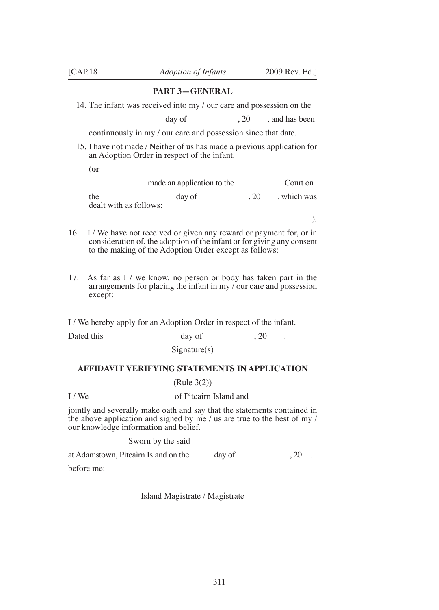#### **PART 3—GENERAL**

14. The infant was received into my / our care and possession on the

day of  $, 20$ , and has been

continuously in my / our care and possession since that date.

- 15. I have not made / Neither of us has made a previous application for an Adoption Order in respect of the infant.
	- (**or**

|                               | made an application to the |     | Court on  |
|-------------------------------|----------------------------|-----|-----------|
| the<br>dealt with as follows: | day of                     | .20 | which was |

).

- 16. I / We have not received or given any reward or payment for, or in consideration of, the adoption of the infant or for giving any consent to the making of the Adoption Order except as follows:
- 17. As far as I / we know, no person or body has taken part in the arrangements for placing the infant in my / our care and possession except:

I / We hereby apply for an Adoption Order in respect of the infant.

Dated this day of 3.20 Signature(s)

### **AFFIDAVIT VERIFYING STATEMENTS IN APPLICATION**

### (Rule 3(2))

#### I / We of Pitcairn Island and

jointly and severally make oath and say that the statements contained in the above application and signed by me / us are true to the best of my / our knowledge information and belief.

#### Sworn by the said

at Adamstown, Pitcairn Island on the day of  $\qquad \qquad 20$ . before me:

Island Magistrate / Magistrate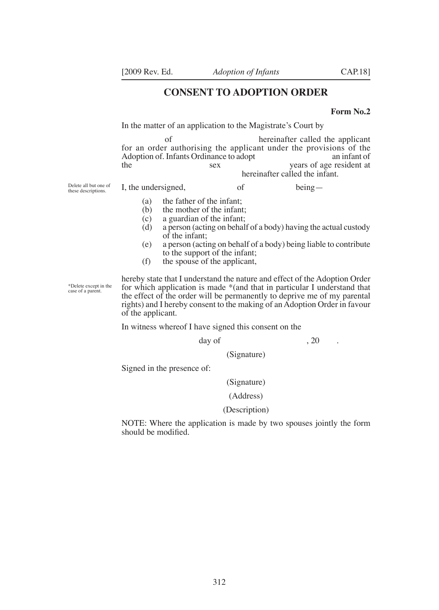### **CONSENT TO ADOPTION ORDER**

#### **Form No.2**

In the matter of an application to the Magistrate's Court by

 of hereinafter called the applicant for an order authorising the applicant under the provisions of the Adoption of. Infants Ordinance to adopt an infant of Adoption of. Infants Ordinance to adopt<br>the sex years of age resident at hereinafter called the infant.

Delete all but one of these descriptions.

I, the undersigned, of being—

- 
- (a) the father of the infant;<br>(b) the mother of the infant
- (b) the mother of the infant;<br>(c) a guardian of the infant; a guardian of the infant;
- (d) a person (acting on behalf of a body) having the actual custody of the infant;
- (e) a person (acting on behalf of a body) being liable to contribute to the support of the infant;
- (f) the spouse of the applicant,

\*Delete except in the case of a parent.

hereby state that I understand the nature and effect of the Adoption Order for which application is made \*(and that in particular I understand that the effect of the order will be permanently to deprive me of my parental rights) and I hereby consent to the making of an Adoption Order in favour of the applicant.

In witness whereof I have signed this consent on the

 $\text{day of}$ , 20

(Signature)

Signed in the presence of:

#### (Signature)

### (Address)

#### (Description)

NOTE: Where the application is made by two spouses jointly the form should be modified.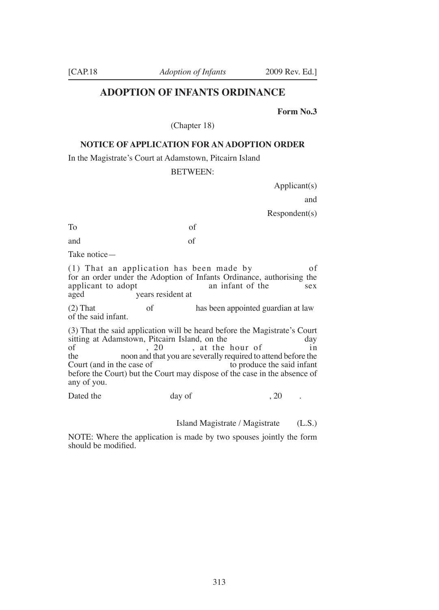### **ADOPTION OF INFANTS ORDINANCE**

**Form No.3** 

(Chapter 18)

### **NOTICE OF APPLICATION FOR AN ADOPTION ORDER**

In the Magistrate's Court at Adamstown, Pitcairn Island

#### BETWEEN:

Applicant(s)

and

Respondent(s)

To of

and of

Take notice—

(1) That an application has been made by of for an order under the Adoption of Infants Ordinance, authorising the applicant to adopt aged years resident at

(2) That of has been appointed guardian at law of the said infant.

(3) That the said application will be heard before the Magistrate's Court sitting at Adamstown, Pitcairn Island, on the day<br>of the hour of the day<br>in of  $\begin{array}{c} 20 \\$ , at the hour of the noon and that you are severally required to a the noon and that you are severally required to attend before the Court (and in the case of the said infant to produce the said infant before the Court) but the Court may dispose of the case in the absence of any of you.

Dated the day of 3.20 .

Island Magistrate / Magistrate (L.S.)

NOTE: Where the application is made by two spouses jointly the form should be modified.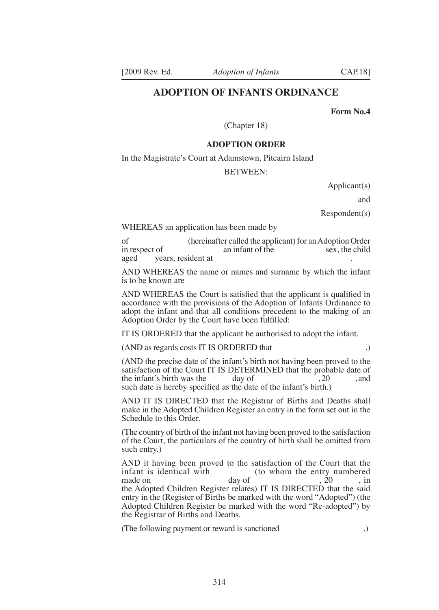### **ADOPTION OF INFANTS ORDINANCE**

**Form No.4** 

(Chapter 18)

#### **ADOPTION ORDER**

In the Magistrate's Court at Adamstown, Pitcairn Island

#### BETWEEN:

Applicant(s)

and

Respondent(s)

WHEREAS an application has been made by

of (hereinafter called the applicant) for an Adoption Order<br>in respect of an infant of the sex, the child an infant of the aged vears, resident at

AND WHEREAS the name or names and surname by which the infant is to be known are

AND WHEREAS the Court is satisfied that the applicant is qualified in accordance with the provisions of the Adoption of Infants Ordinance to adopt the infant and that all conditions precedent to the making of an Adoption Order by the Court have been fulfilled:

IT IS ORDERED that the applicant be authorised to adopt the infant.

#### (AND as regards costs IT IS ORDERED that .)

(AND the precise date of the infant's birth not having been proved to the satisfaction of the Court IT IS DETERMINED that the probable date of the infant's birth was the day of  $\frac{20}{100}$ , and the infant's birth was the such date is hereby specified as the date of the infant's birth.)

AND IT IS DIRECTED that the Registrar of Births and Deaths shall make in the Adopted Children Register an entry in the form set out in the Schedule to this Order.

(The country of birth of the infant not having been proved to the satisfaction of the Court, the particulars of the country of birth shall be omitted from such entry.)

AND it having been proved to the satisfaction of the Court that the infant is identical with  $\frac{dy}{dx}$  (to whom the entry numbered made on  $\frac{20}{x}$ , in made on day of the set of the set of the set of the set of the set of the set of the set of the set of the set of the set of the set of the set of the set of the set of the set of the set of the set of the set of the set o the Adopted Children Register relates) IT IS DIRECTED that the said entry in the (Register of Births be marked with the word "Adopted") (the Adopted Children Register be marked with the word "Re-adopted") by the Registrar of Births and Deaths.

(The following payment or reward is sanctioned .)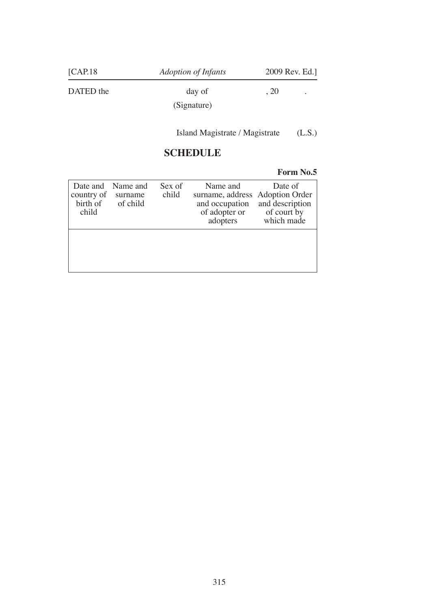| [CAP.18]  | Adoption of Infants   | 2009 Rev. Ed.] |   |
|-----------|-----------------------|----------------|---|
| DATED the | day of<br>(Signature) | , 20           | ٠ |
|           |                       |                |   |

Island Magistrate / Magistrate (L.S.)

# **SCHEDULE**

## **Form No.5**

| country of<br>child | Date and Name and<br>surname<br>birth of of child | Sex of<br>child | Name and<br>surname, address Adoption Order<br>and occupation<br>of adopter or of court by<br>adopters | Date of<br>and description<br>which made |
|---------------------|---------------------------------------------------|-----------------|--------------------------------------------------------------------------------------------------------|------------------------------------------|
|                     |                                                   |                 |                                                                                                        |                                          |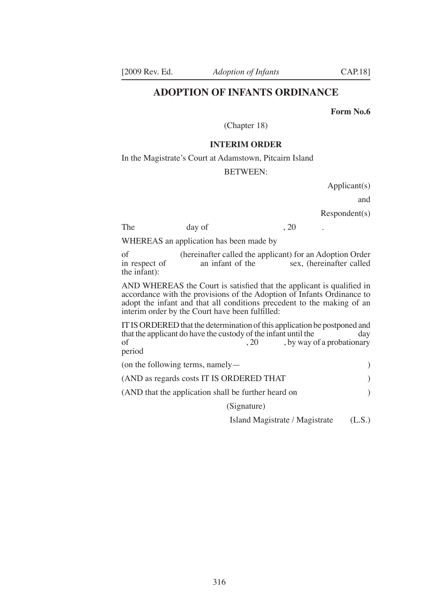### **ADOPTION OF INFANTS ORDINANCE**

**Form No.6** 

(Chapter 18)

#### **INTERIM ORDER**

In the Magistrate's Court at Adamstown, Pitcairn Island

#### BETWEEN:

Applicant(s)

and

#### Respondent(s)

The day of , 20 .

WHEREAS an application has been made by

of (hereinafter called the applicant) for an Adoption Order<br>in respect of an infant of the sex, (hereinafter called sex, (hereinafter called the infant):

AND WHEREAS the Court is satisfied that the applicant is qualified in accordance with the provisions of the Adoption of Infants Ordinance to adopt the infant and that all conditions precedent to the making of an interim order by the Court have been fulfilled:

IT IS ORDERED that the determination of this application be postponed and that the applicant do have the custody of the infant until the day that the applicant do have the custody of the infant until the of  $(20, 20)$ , by way of , by way of a probationary period

| (on the following terms, namely $-$                 |  |
|-----------------------------------------------------|--|
| (AND as regards costs IT IS ORDERED THAT)           |  |
| (AND that the application shall be further heard on |  |
| (Signature)                                         |  |

Island Magistrate / Magistrate (L.S.)